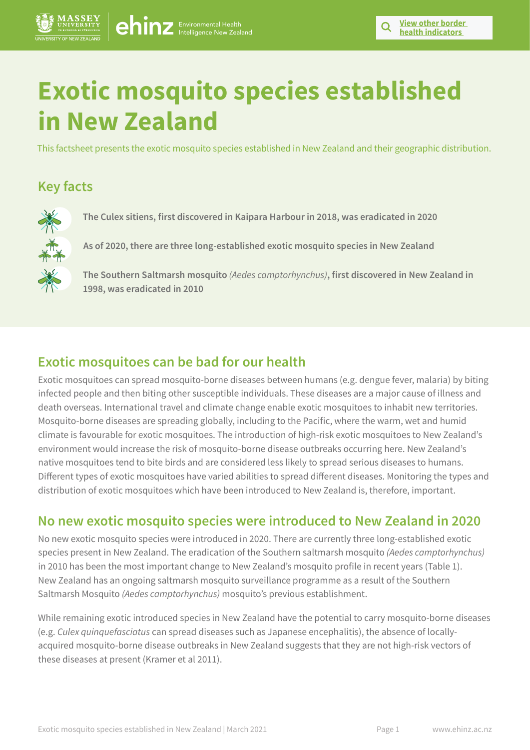# **Exotic mosquito species established in New Zealand**

This factsheet presents the exotic mosquito species established in New Zealand and their geographic distribution.

# **Key facts**



**The Culex sitiens, first discovered in Kaipara Harbour in 2018, was eradicated in 2020**

**As of 2020, there are three long-established exotic mosquito species in New Zealand**

**The Southern Saltmarsh mosquito** *(Aedes camptorhynchus)***, first discovered in New Zealand in 1998, was eradicated in 2010**

# **Exotic mosquitoes can be bad for our health**

Exotic mosquitoes can spread mosquito-borne diseases between humans (e.g. dengue fever, malaria) by biting infected people and then biting other susceptible individuals. These diseases are a major cause of illness and death overseas. International travel and climate change enable exotic mosquitoes to inhabit new territories. Mosquito-borne diseases are spreading globally, including to the Pacific, where the warm, wet and humid climate is favourable for exotic mosquitoes. The introduction of high-risk exotic mosquitoes to New Zealand's environment would increase the risk of mosquito-borne disease outbreaks occurring here. New Zealand's native mosquitoes tend to bite birds and are considered less likely to spread serious diseases to humans. Different types of exotic mosquitoes have varied abilities to spread different diseases. Monitoring the types and distribution of exotic mosquitoes which have been introduced to New Zealand is, therefore, important.

# **No new exotic mosquito species were introduced to New Zealand in 2020**

No new exotic mosquito species were introduced in 2020. There are currently three long-established exotic species present in New Zealand. The eradication of the Southern saltmarsh mosquito *(Aedes camptorhynchus)* in 2010 has been the most important change to New Zealand's mosquito profile in recent years (Table 1). New Zealand has an ongoing saltmarsh mosquito surveillance programme as a result of the Southern Saltmarsh Mosquito *(Aedes camptorhynchus)* mosquito's previous establishment.

While remaining exotic introduced species in New Zealand have the potential to carry mosquito-borne diseases (e.g. *Culex quinquefasciatus* can spread diseases such as Japanese encephalitis), the absence of locallyacquired mosquito-borne disease outbreaks in New Zealand suggests that they are not high-risk vectors of these diseases at present (Kramer et al 2011).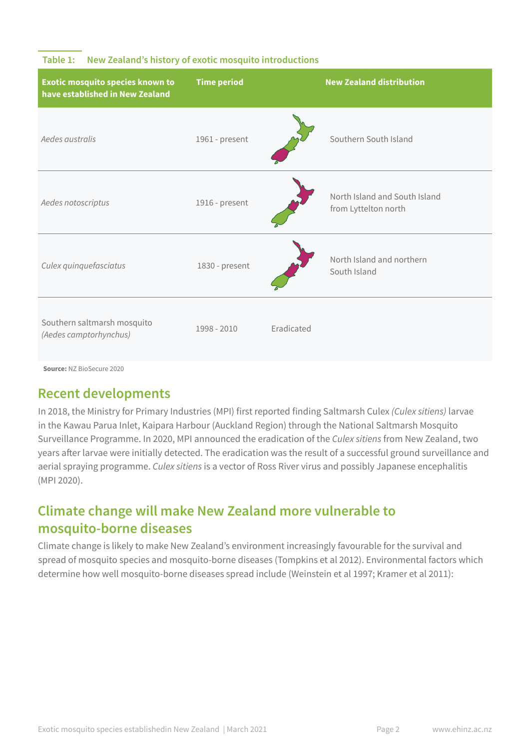## **Table 1: New Zealand's history of exotic mosquito introductions**

| <b>Exotic mosquito species known to</b><br>have established in New Zealand | <b>Time period</b> |            | <b>New Zealand distribution</b>                       |
|----------------------------------------------------------------------------|--------------------|------------|-------------------------------------------------------|
| Aedes australis                                                            | 1961 - present     |            | Southern South Island                                 |
| Aedes notoscriptus                                                         | 1916 - present     |            | North Island and South Island<br>from Lyttelton north |
| Culex quinquefasciatus                                                     | 1830 - present     |            | North Island and northern<br>South Island             |
| Southern saltmarsh mosquito<br>(Aedes camptorhynchus)                      | 1998 - 2010        | Eradicated |                                                       |

**Source:** NZ BioSecure 2020

# **Recent developments**

In 2018, the Ministry for Primary Industries (MPI) first reported finding Saltmarsh Culex *(Culex sitiens)* larvae in the Kawau Parua Inlet, Kaipara Harbour (Auckland Region) through the National Saltmarsh Mosquito Surveillance Programme. In 2020, MPI announced the eradication of the *Culex sitiens* from New Zealand, two years after larvae were initially detected. The eradication was the result of a successful ground surveillance and aerial spraying programme. *Culex sitiens* is a vector of Ross River virus and possibly Japanese encephalitis (MPI 2020).

# **Climate change will make New Zealand more vulnerable to mosquito-borne diseases**

Climate change is likely to make New Zealand's environment increasingly favourable for the survival and spread of mosquito species and mosquito-borne diseases (Tompkins et al 2012). Environmental factors which determine how well mosquito-borne diseases spread include (Weinstein et al 1997; Kramer et al 2011):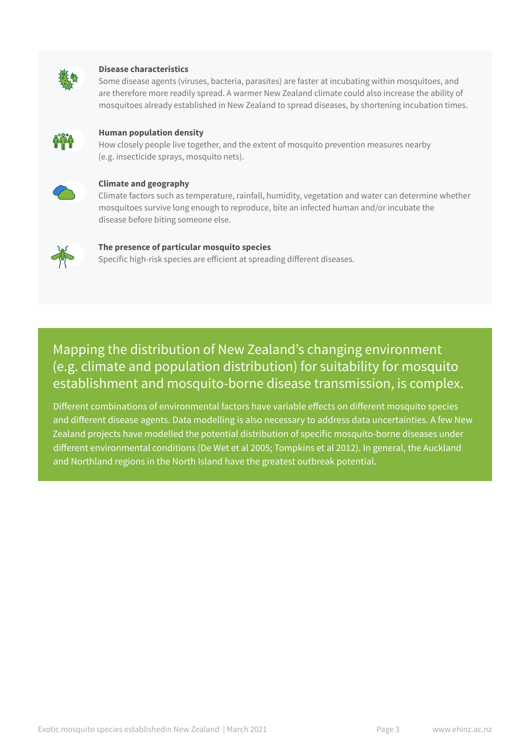

#### **Disease characteristics**

Some disease agents (viruses, bacteria, parasites) are faster at incubating within mosquitoes, and are therefore more readily spread. A warmer New Zealand climate could also increase the ability of mosquitoes already established in New Zealand to spread diseases, by shortening incubation times.



#### **Human population density**

How closely people live together, and the extent of mosquito prevention measures nearby (e.g. insecticide sprays, mosquito nets).



#### **Climate and geography**

Climate factors such as temperature, rainfall, humidity, vegetation and water can determine whether mosquitoes survive long enough to reproduce, bite an infected human and/or incubate the disease before biting someone else.



#### **The presence of particular mosquito species**

Specific high-risk species are efficient at spreading different diseases.

# Mapping the distribution of New Zealand's changing environment (e.g. climate and population distribution) for suitability for mosquito establishment and mosquito-borne disease transmission, is complex.

Different combinations of environmental factors have variable effects on different mosquito species and different disease agents. Data modelling is also necessary to address data uncertainties. A few New Zealand projects have modelled the potential distribution of specific mosquito-borne diseases under different environmental conditions (De Wet et al 2005; Tompkins et al 2012). In general, the Auckland and Northland regions in the North Island have the greatest outbreak potential.